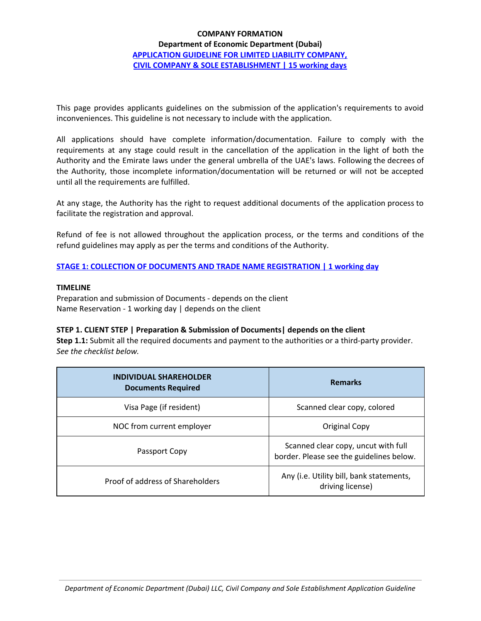## **Department of Economic Department (Dubai) APPLICATION GUIDELINE FOR LIMITED LIABILITY COMPANY, CIVIL COMPANY & SOLE ESTABLISHMENT | 15 working days**

This page provides applicants guidelines on the submission of the application's requirements to avoid inconveniences. This guideline is not necessary to include with the application.

All applications should have complete information/documentation. Failure to comply with the requirements at any stage could result in the cancellation of the application in the light of both the Authority and the Emirate laws under the general umbrella of the UAE's laws. Following the decrees of the Authority, those incomplete information/documentation will be returned or will not be accepted until all the requirements are fulfilled.

At any stage, the Authority has the right to request additional documents of the application process to facilitate the registration and approval.

Refund of fee is not allowed throughout the application process, or the terms and conditions of the refund guidelines may apply as per the terms and conditions of the Authority.

# **STAGE 1: COLLECTION OF DOCUMENTS AND TRADE NAME REGISTRATION | 1 working day**

#### **TIMELINE**

Preparation and submission of Documents - depends on the client Name Reservation - 1 working day | depends on the client

## **STEP 1. CLIENT STEP | Preparation & Submission of Documents| depends on the client**

**Step 1.1:** Submit all the required documents and payment to the authorities or a third-party provider. *See the checklist below.*

| <b>INDIVIDUAL SHAREHOLDER</b><br><b>Documents Required</b> | <b>Remarks</b>                                                                  |
|------------------------------------------------------------|---------------------------------------------------------------------------------|
| Visa Page (if resident)                                    | Scanned clear copy, colored                                                     |
| NOC from current employer                                  | <b>Original Copy</b>                                                            |
| Passport Copy                                              | Scanned clear copy, uncut with full<br>border. Please see the guidelines below. |
| Proof of address of Shareholders                           | Any (i.e. Utility bill, bank statements,<br>driving license)                    |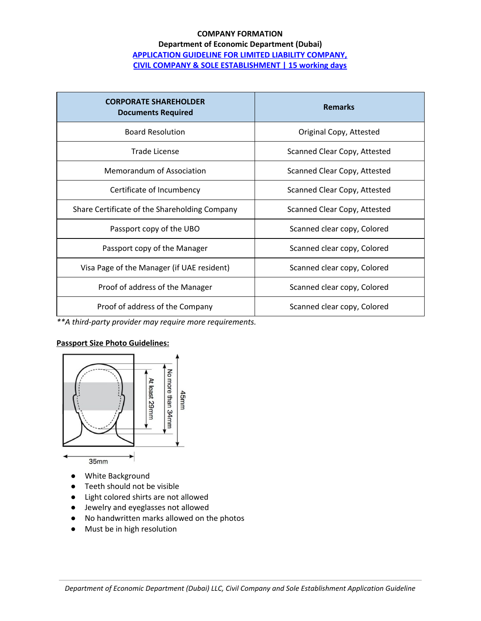# **Department of Economic Department (Dubai) APPLICATION GUIDELINE FOR LIMITED LIABILITY COMPANY, CIVIL COMPANY & SOLE ESTABLISHMENT | 15 working days**

| <b>CORPORATE SHAREHOLDER</b><br><b>Documents Required</b> | <b>Remarks</b>               |
|-----------------------------------------------------------|------------------------------|
| <b>Board Resolution</b>                                   | Original Copy, Attested      |
| Trade License                                             | Scanned Clear Copy, Attested |
| Memorandum of Association                                 | Scanned Clear Copy, Attested |
| Certificate of Incumbency                                 | Scanned Clear Copy, Attested |
| Share Certificate of the Shareholding Company             | Scanned Clear Copy, Attested |
| Passport copy of the UBO                                  | Scanned clear copy, Colored  |
| Passport copy of the Manager                              | Scanned clear copy, Colored  |
| Visa Page of the Manager (if UAE resident)                | Scanned clear copy, Colored  |
| Proof of address of the Manager                           | Scanned clear copy, Colored  |
| Proof of address of the Company                           | Scanned clear copy, Colored  |

*\*\*A third-party provider may require more requirements.*

## **Passport Size Photo Guidelines:**



- **●** White Background
- **●** Teeth should not be visible
- **●** Light colored shirts are not allowed
- **●** Jewelry and eyeglasses not allowed
- **●** No handwritten marks allowed on the photos
- **●** Must be in high resolution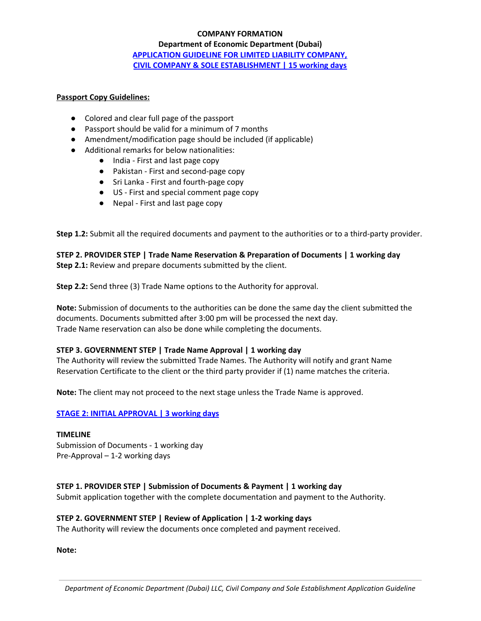# **Department of Economic Department (Dubai) APPLICATION GUIDELINE FOR LIMITED LIABILITY COMPANY, CIVIL COMPANY & SOLE ESTABLISHMENT | 15 working days**

#### **Passport Copy Guidelines:**

- Colored and clear full page of the passport
- Passport should be valid for a minimum of 7 months
- Amendment/modification page should be included (if applicable)
- Additional remarks for below nationalities:
	- India First and last page copy
	- Pakistan First and second-page copy
	- Sri Lanka First and fourth-page copy
	- US First and special comment page copy
	- Nepal First and last page copy

**Step 1.2:** Submit all the required documents and payment to the authorities or to a third-party provider.

# **STEP 2. PROVIDER STEP | Trade Name Reservation & Preparation of Documents | 1 working day**

**Step 2.1:** Review and prepare documents submitted by the client.

**Step 2.2:** Send three (3) Trade Name options to the Authority for approval.

**Note:** Submission of documents to the authorities can be done the same day the client submitted the documents. Documents submitted after 3:00 pm will be processed the next day. Trade Name reservation can also be done while completing the documents.

## **STEP 3. GOVERNMENT STEP | Trade Name Approval | 1 working day**

The Authority will review the submitted Trade Names. The Authority will notify and grant Name Reservation Certificate to the client or the third party provider if (1) name matches the criteria.

**Note:** The client may not proceed to the next stage unless the Trade Name is approved.

## **STAGE 2: INITIAL APPROVAL | 3 working days**

## **TIMELINE**

Submission of Documents - 1 working day Pre-Approval – 1-2 working days

## **STEP 1. PROVIDER STEP | Submission of Documents & Payment | 1 working day**

Submit application together with the complete documentation and payment to the Authority.

# **STEP 2. GOVERNMENT STEP | Review of Application | 1-2 working days**

The Authority will review the documents once completed and payment received.

**Note:**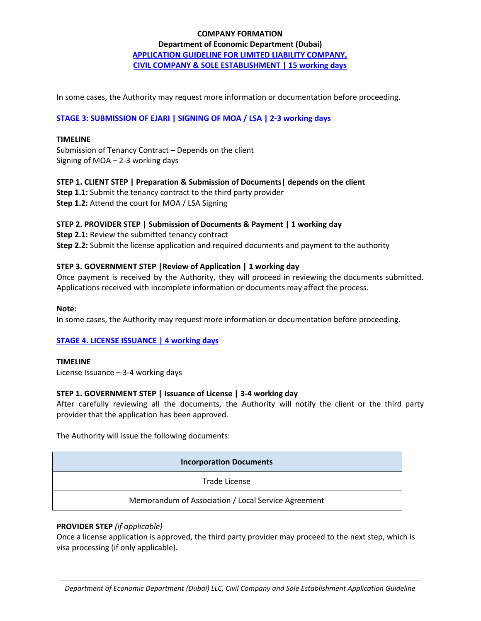**Department of Economic Department (Dubai) APPLICATION GUIDELINE FOR LIMITED LIABILITY COMPANY, CIVIL COMPANY & SOLE ESTABLISHMENT | 15 working days**

In some cases, the Authority may request more information or documentation before proceeding.

## **STAGE 3: SUBMISSION OF EJARI | SIGNING OF MOA / LSA | 2-3 working days**

#### **TIMELINE**

Submission of Tenancy Contract – Depends on the client Signing of MOA – 2-3 working days

# **STEP 1. CLIENT STEP | Preparation & Submission of Documents| depends on the client**

**Step 1.1:** Submit the tenancy contract to the third party provider **Step 1.2:** Attend the court for MOA / LSA Signing

# **STEP 2. PROVIDER STEP | Submission of Documents & Payment | 1 working day**

**Step 2.1:** Review the submitted tenancy contract **Step 2.2:** Submit the license application and required documents and payment to the authority

## **STEP 3. GOVERNMENT STEP |Review of Application | 1 working day**

Once payment is received by the Authority, they will proceed in reviewing the documents submitted. Applications received with incomplete information or documents may affect the process.

#### **Note:**

In some cases, the Authority may request more information or documentation before proceeding.

## **STAGE 4. LICENSE ISSUANCE | 4 working days**

**TIMELINE** License Issuance – 3-4 working days

## **STEP 1. GOVERNMENT STEP | Issuance of License | 3-4 working day**

After carefully reviewing all the documents, the Authority will notify the client or the third party provider that the application has been approved.

The Authority will issue the following documents:

| <b>Incorporation Documents</b>                      |  |  |
|-----------------------------------------------------|--|--|
| Trade License                                       |  |  |
| Memorandum of Association / Local Service Agreement |  |  |

## **PROVIDER STEP** *(if applicable)*

Once a license application is approved, the third party provider may proceed to the next step, which is visa processing (if only applicable).